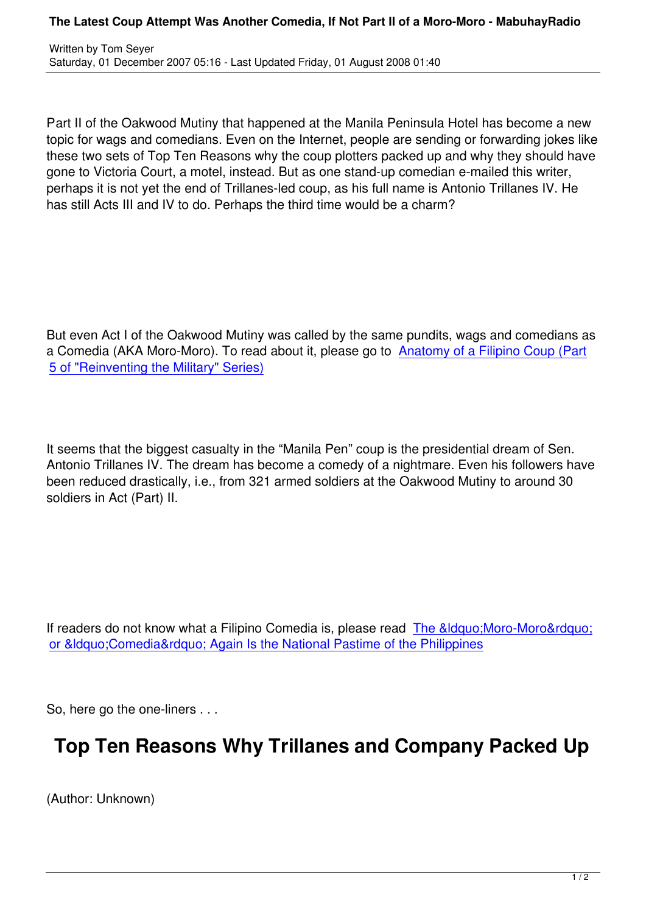Part II of the Oakwood Mutiny that happened at the Manila Peninsula Hotel has become a new topic for wags and comedians. Even on the Internet, people are sending or forwarding jokes like these two sets of Top Ten Reasons why the coup plotters packed up and why they should have gone to Victoria Court, a motel, instead. But as one stand-up comedian e-mailed this writer, perhaps it is not yet the end of Trillanes-led coup, as his full name is Antonio Trillanes IV. He has still Acts III and IV to do. Perhaps the third time would be a charm?

But even Act I of the Oakwood Mutiny was called by the same pundits, wags and comedians as a Comedia (AKA Moro-Moro). To read about it, please go to Anatomy of a Filipino Coup (Part 5 of "Reinventing the Military" Series)

It seems that the biggest casualty in the "Manila Pen" coup is the presidential dream of Sen. Antonio Trillanes IV. The dream has become a comedy of a nightmare. Even his followers have been reduced drastically, i.e., from 321 armed soldiers at the Oakwood Mutiny to around 30 soldiers in Act (Part) II.

If readers do not know what a Filipino Comedia is, please read The &Idquo; Moro-Moro" or &Idquo; Comedia & rdquo; Again Is the National Pastime of the Philippines

[So, here go the one-liners . . .](content/view/653/51)

## **Top Ten Reasons Why Trillanes and Company Packed Up**

(Author: Unknown)